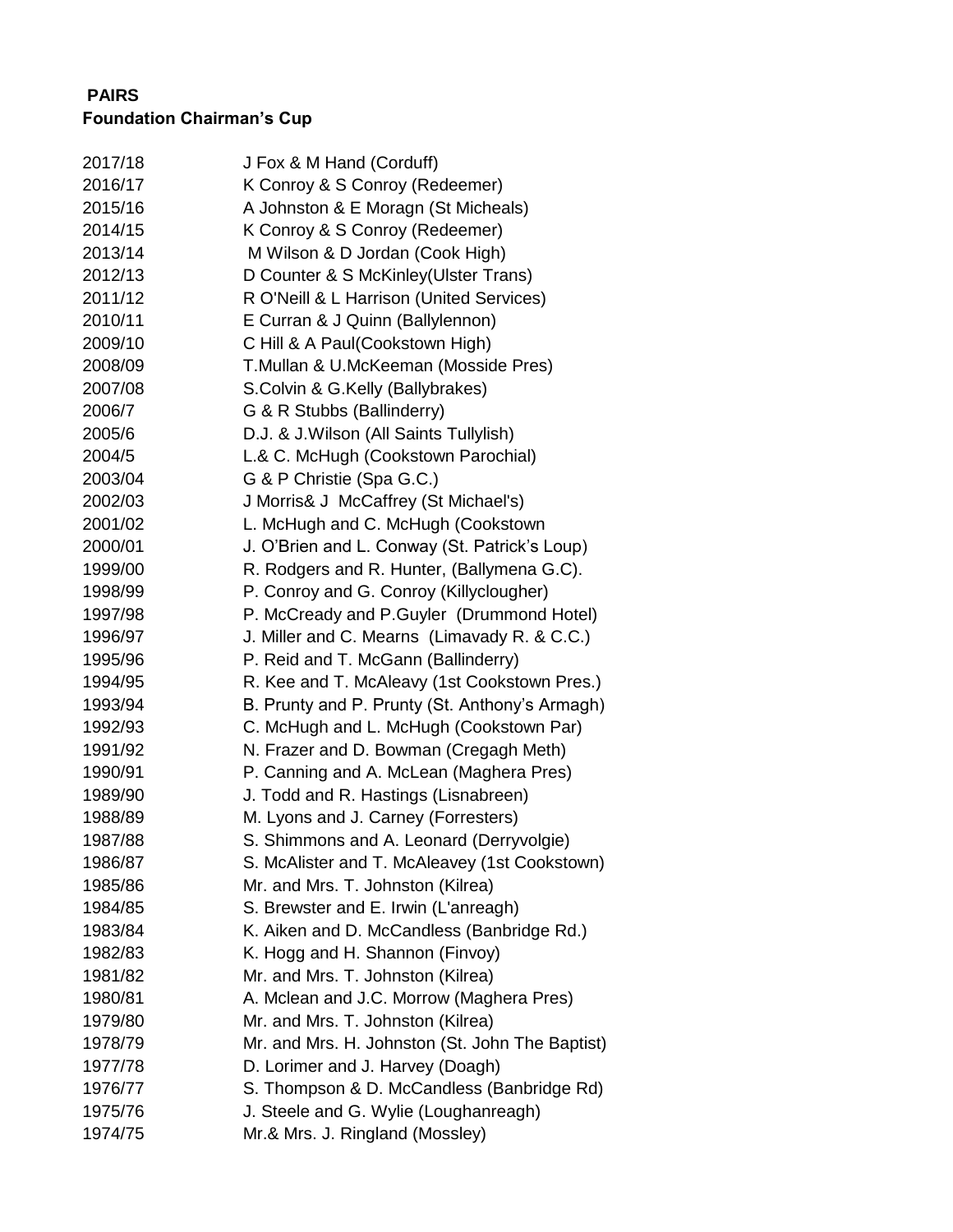## **PAIRS Foundation Chairman's Cup**

| 2017/18 | J Fox & M Hand (Corduff)                        |
|---------|-------------------------------------------------|
| 2016/17 | K Conroy & S Conroy (Redeemer)                  |
| 2015/16 | A Johnston & E Moragn (St Micheals)             |
| 2014/15 | K Conroy & S Conroy (Redeemer)                  |
| 2013/14 | M Wilson & D Jordan (Cook High)                 |
| 2012/13 | D Counter & S McKinley (Ulster Trans)           |
| 2011/12 | R O'Neill & L Harrison (United Services)        |
| 2010/11 | E Curran & J Quinn (Ballylennon)                |
| 2009/10 | C Hill & A Paul(Cookstown High)                 |
| 2008/09 | T.Mullan & U.McKeeman (Mosside Pres)            |
| 2007/08 | S.Colvin & G.Kelly (Ballybrakes)                |
| 2006/7  | G & R Stubbs (Ballinderry)                      |
| 2005/6  | D.J. & J. Wilson (All Saints Tullylish)         |
| 2004/5  | L.& C. McHugh (Cookstown Parochial)             |
| 2003/04 | G & P Christie (Spa G.C.)                       |
| 2002/03 | J Morris& J McCaffrey (St Michael's)            |
| 2001/02 | L. McHugh and C. McHugh (Cookstown              |
| 2000/01 | J. O'Brien and L. Conway (St. Patrick's Loup)   |
| 1999/00 | R. Rodgers and R. Hunter, (Ballymena G.C).      |
| 1998/99 | P. Conroy and G. Conroy (Killyclougher)         |
| 1997/98 | P. McCready and P.Guyler (Drummond Hotel)       |
| 1996/97 | J. Miller and C. Mearns (Limavady R. & C.C.)    |
| 1995/96 | P. Reid and T. McGann (Ballinderry)             |
| 1994/95 | R. Kee and T. McAleavy (1st Cookstown Pres.)    |
| 1993/94 | B. Prunty and P. Prunty (St. Anthony's Armagh)  |
| 1992/93 | C. McHugh and L. McHugh (Cookstown Par)         |
| 1991/92 | N. Frazer and D. Bowman (Cregagh Meth)          |
| 1990/91 | P. Canning and A. McLean (Maghera Pres)         |
| 1989/90 | J. Todd and R. Hastings (Lisnabreen)            |
| 1988/89 | M. Lyons and J. Carney (Forresters)             |
| 1987/88 | S. Shimmons and A. Leonard (Derryvolgie)        |
| 1986/87 | S. McAlister and T. McAleavey (1st Cookstown)   |
| 1985/86 | Mr. and Mrs. T. Johnston (Kilrea)               |
| 1984/85 | S. Brewster and E. Irwin (L'anreagh)            |
| 1983/84 | K. Aiken and D. McCandless (Banbridge Rd.)      |
| 1982/83 | K. Hogg and H. Shannon (Finvoy)                 |
| 1981/82 | Mr. and Mrs. T. Johnston (Kilrea)               |
| 1980/81 | A. Mclean and J.C. Morrow (Maghera Pres)        |
| 1979/80 | Mr. and Mrs. T. Johnston (Kilrea)               |
| 1978/79 | Mr. and Mrs. H. Johnston (St. John The Baptist) |
| 1977/78 | D. Lorimer and J. Harvey (Doagh)                |
| 1976/77 | S. Thompson & D. McCandless (Banbridge Rd)      |
| 1975/76 | J. Steele and G. Wylie (Loughanreagh)           |
| 1974/75 | Mr.& Mrs. J. Ringland (Mossley)                 |